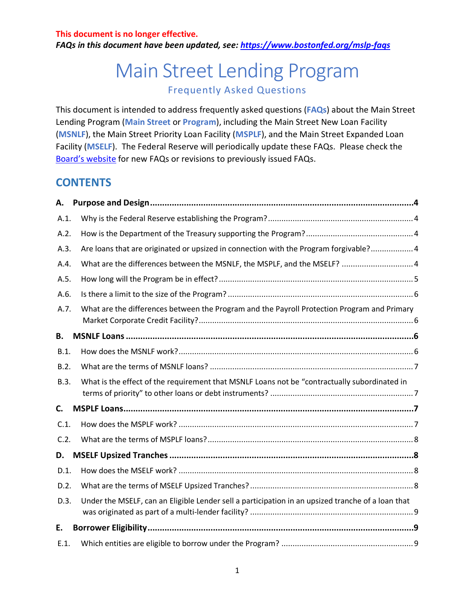*FAQs in this document have been updated, see:<https://www.bostonfed.org/mslp-faqs>*

# Main Street Lending Program Frequently Asked Questions

This document is intended to address frequently asked questions (**FAQs**) about the Main Street Lending Program (**Main Street** or **Program**), including the Main Street New Loan Facility (**MSNLF**), the Main Street Priority Loan Facility (**MSPLF**), and the Main Street Expanded Loan Facility (**MSELF**). The Federal Reserve will periodically update these FAQs. Please check the Board's [website](https://www.federalreserve.gov/monetarypolicy/mainstreetlending.htm) for new FAQs or revisions to previously issued FAQs.

### **CONTENTS**

| А.   |                                                                                                   |  |
|------|---------------------------------------------------------------------------------------------------|--|
| A.1. |                                                                                                   |  |
| A.2. |                                                                                                   |  |
| A.3. | Are loans that are originated or upsized in connection with the Program forgivable? 4             |  |
| A.4. | What are the differences between the MSNLF, the MSPLF, and the MSELF?  4                          |  |
| A.5. |                                                                                                   |  |
| A.6. |                                                                                                   |  |
| A.7. | What are the differences between the Program and the Payroll Protection Program and Primary       |  |
| В.   |                                                                                                   |  |
| B.1. |                                                                                                   |  |
| B.2. |                                                                                                   |  |
| B.3. | What is the effect of the requirement that MSNLF Loans not be "contractually subordinated in      |  |
| C.   |                                                                                                   |  |
| C.1. |                                                                                                   |  |
| C.2. |                                                                                                   |  |
| D.   |                                                                                                   |  |
| D.1. |                                                                                                   |  |
| D.2. |                                                                                                   |  |
| D.3. | Under the MSELF, can an Eligible Lender sell a participation in an upsized tranche of a loan that |  |
| Е.   |                                                                                                   |  |
| E.1. |                                                                                                   |  |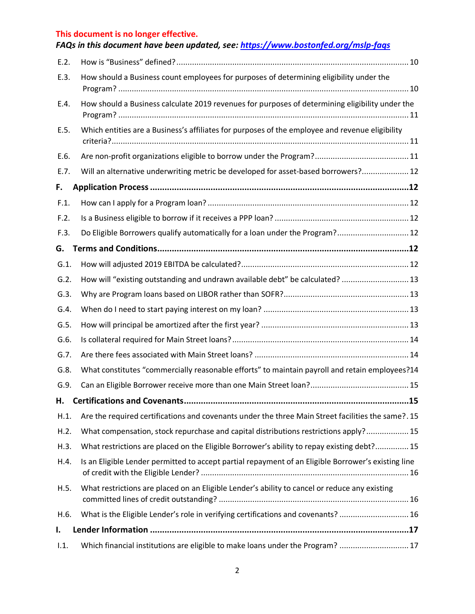|         | FAQs in this document have been updated, see: https://www.bostonfed.org/mslp-faqs                   |
|---------|-----------------------------------------------------------------------------------------------------|
| E.2.    |                                                                                                     |
| E.3.    | How should a Business count employees for purposes of determining eligibility under the             |
| E.4.    | How should a Business calculate 2019 revenues for purposes of determining eligibility under the     |
| E.5.    | Which entities are a Business's affiliates for purposes of the employee and revenue eligibility     |
| E.6.    |                                                                                                     |
| E.7.    | Will an alternative underwriting metric be developed for asset-based borrowers? 12                  |
| F.      |                                                                                                     |
| F.1.    |                                                                                                     |
| F.2.    |                                                                                                     |
| F.3.    | Do Eligible Borrowers qualify automatically for a loan under the Program? 12                        |
| G.      |                                                                                                     |
| $G.1$ . |                                                                                                     |
| G.2.    | How will "existing outstanding and undrawn available debt" be calculated?  13                       |
| G.3.    |                                                                                                     |
| G.4.    |                                                                                                     |
| G.5.    |                                                                                                     |
| G.6.    |                                                                                                     |
| G.7.    |                                                                                                     |
| G.8.    | What constitutes "commercially reasonable efforts" to maintain payroll and retain employees?14      |
| G.9.    |                                                                                                     |
| Н.      |                                                                                                     |
| H.1.    | Are the required certifications and covenants under the three Main Street facilities the same?. 15  |
| H.2.    | What compensation, stock repurchase and capital distributions restrictions apply? 15                |
| H.3.    | What restrictions are placed on the Eligible Borrower's ability to repay existing debt? 15          |
| H.4.    | Is an Eligible Lender permitted to accept partial repayment of an Eligible Borrower's existing line |
| H.5.    | What restrictions are placed on an Eligible Lender's ability to cancel or reduce any existing       |
| H.6.    | What is the Eligible Lender's role in verifying certifications and covenants?  16                   |
| I.      |                                                                                                     |
| 1.1.    | Which financial institutions are eligible to make loans under the Program?  17                      |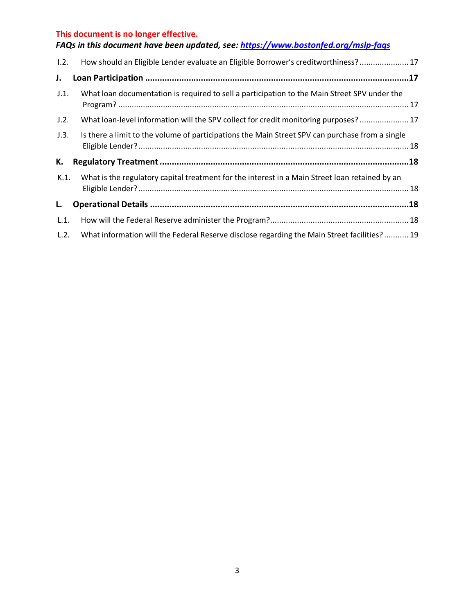|      | FAQs in this document have been updated, see: https://www.bostonfed.org/mslp-faqs               |
|------|-------------------------------------------------------------------------------------------------|
| 1.2. | How should an Eligible Lender evaluate an Eligible Borrower's creditworthiness? 17              |
| J.   |                                                                                                 |
| J.1. | What loan documentation is required to sell a participation to the Main Street SPV under the    |
| J.2. | What loan-level information will the SPV collect for credit monitoring purposes? 17             |
| J.3. | Is there a limit to the volume of participations the Main Street SPV can purchase from a single |
| К.   |                                                                                                 |
| K.1. | What is the regulatory capital treatment for the interest in a Main Street loan retained by an  |
| L.   |                                                                                                 |
| L.1. |                                                                                                 |
| L.2. | What information will the Federal Reserve disclose regarding the Main Street facilities? 19     |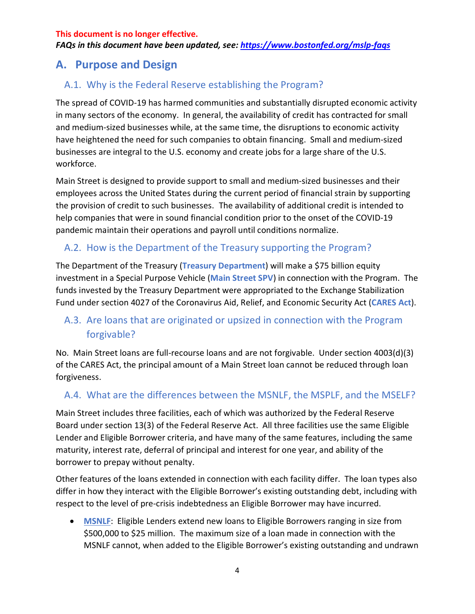*FAQs in this document have been updated, see:<https://www.bostonfed.org/mslp-faqs>*

## <span id="page-3-0"></span>**A. Purpose and Design**

### <span id="page-3-1"></span>A.1. Why is the Federal Reserve establishing the Program?

The spread of COVID-19 has harmed communities and substantially disrupted economic activity in many sectors of the economy. In general, the availability of credit has contracted for small and medium-sized businesses while, at the same time, the disruptions to economic activity have heightened the need for such companies to obtain financing. Small and medium-sized businesses are integral to the U.S. economy and create jobs for a large share of the U.S. workforce.

Main Street is designed to provide support to small and medium-sized businesses and their employees across the United States during the current period of financial strain by supporting the provision of credit to such businesses.The availability of additional credit is intended to help companies that were in sound financial condition prior to the onset of the COVID-19 pandemic maintain their operations and payroll until conditions normalize.

### <span id="page-3-2"></span>A.2. How is the Department of the Treasury supporting the Program?

The Department of the Treasury (**Treasury Department**) will make a \$75 billion equity investment in a Special Purpose Vehicle (**Main Street SPV**) in connection with the Program. The funds invested by the Treasury Department were appropriated to the Exchange Stabilization Fund under section 4027 of the Coronavirus Aid, Relief, and Economic Security Act (**CARES Act**).

### <span id="page-3-3"></span>A.3. Are loans that are originated or upsized in connection with the Program forgivable?

No. Main Street loans are full-recourse loans and are not forgivable. Under section 4003(d)(3) of the CARES Act, the principal amount of a Main Street loan cannot be reduced through loan forgiveness.

### <span id="page-3-4"></span>A.4. What are the differences between the MSNLF, the MSPLF, and the MSELF?

Main Street includes three facilities, each of which was authorized by the Federal Reserve Board under section 13(3) of the Federal Reserve Act. All three facilities use the same Eligible Lender and Eligible Borrower criteria, and have many of the same features, including the same maturity, interest rate, deferral of principal and interest for one year, and ability of the borrower to prepay without penalty.

Other features of the loans extended in connection with each facility differ. The loan types also differ in how they interact with the Eligible Borrower's existing outstanding debt, including with respect to the level of pre-crisis indebtedness an Eligible Borrower may have incurred.

• **MSNLF**: Eligible Lenders extend new loans to Eligible Borrowers ranging in size from \$500,000 to \$25 million. The maximum size of a loan made in connection with the MSNLF cannot, when added to the Eligible Borrower's existing outstanding and undrawn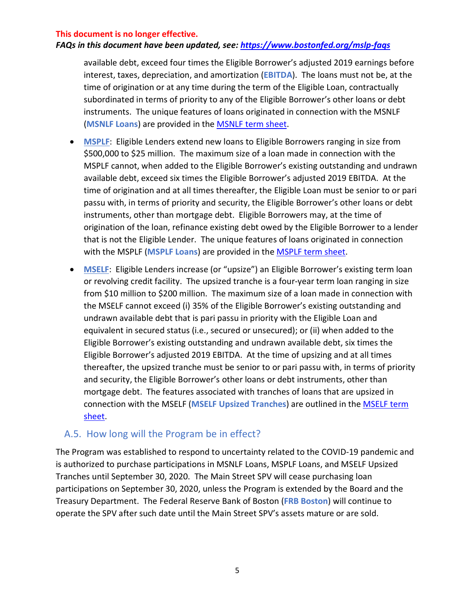#### *FAQs in this document have been updated, see:<https://www.bostonfed.org/mslp-faqs>*

available debt, exceed four times the Eligible Borrower's adjusted 2019 earnings before interest, taxes, depreciation, and amortization (**EBITDA**). The loans must not be, at the time of origination or at any time during the term of the Eligible Loan, contractually subordinated in terms of priority to any of the Eligible Borrower's other loans or debt instruments. The unique features of loans originated in connection with the MSNLF (**MSNLF Loans**) are provided in the [MSNLF term sheet.](https://www.federalreserve.gov/newsevents/pressreleases/files/monetary20200430a1.pdf)

- **MSPLF**: Eligible Lenders extend new loans to Eligible Borrowers ranging in size from \$500,000 to \$25 million. The maximum size of a loan made in connection with the MSPLF cannot, when added to the Eligible Borrower's existing outstanding and undrawn available debt, exceed six times the Eligible Borrower's adjusted 2019 EBITDA. At the time of origination and at all times thereafter, the Eligible Loan must be senior to or pari passu with, in terms of priority and security, the Eligible Borrower's other loans or debt instruments, other than mortgage debt. Eligible Borrowers may, at the time of origination of the loan, refinance existing debt owed by the Eligible Borrower to a lender that is not the Eligible Lender. The unique features of loans originated in connection with the MSPLF (**MSPLF Loans**) are provided in the [MSPLF term sheet.](https://www.federalreserve.gov/newsevents/pressreleases/files/monetary20200430a2.pdf)
- **MSELF**: Eligible Lenders increase (or "upsize") an Eligible Borrower's existing term loan or revolving credit facility. The upsized tranche is a four-year term loan ranging in size from \$10 million to \$200 million. The maximum size of a loan made in connection with the MSELF cannot exceed (i) 35% of the Eligible Borrower's existing outstanding and undrawn available debt that is pari passu in priority with the Eligible Loan and equivalent in secured status (i.e., secured or unsecured); or (ii) when added to the Eligible Borrower's existing outstanding and undrawn available debt, six times the Eligible Borrower's adjusted 2019 EBITDA. At the time of upsizing and at all times thereafter, the upsized tranche must be senior to or pari passu with, in terms of priority and security, the Eligible Borrower's other loans or debt instruments, other than mortgage debt. The features associated with tranches of loans that are upsized in connection with the MSELF (**MSELF Upsized Tranches**) are outlined in the [MSELF term](https://www.federalreserve.gov/newsevents/pressreleases/files/monetary20200430a3.pdf)  [sheet.](https://www.federalreserve.gov/newsevents/pressreleases/files/monetary20200430a3.pdf)

### <span id="page-4-0"></span>A.5. How long will the Program be in effect?

The Program was established to respond to uncertainty related to the COVID-19 pandemic and is authorized to purchase participations in MSNLF Loans, MSPLF Loans, and MSELF Upsized Tranches until September 30, 2020. The Main Street SPV will cease purchasing loan participations on September 30, 2020, unless the Program is extended by the Board and the Treasury Department. The Federal Reserve Bank of Boston (**FRB Boston**) will continue to operate the SPV after such date until the Main Street SPV's assets mature or are sold.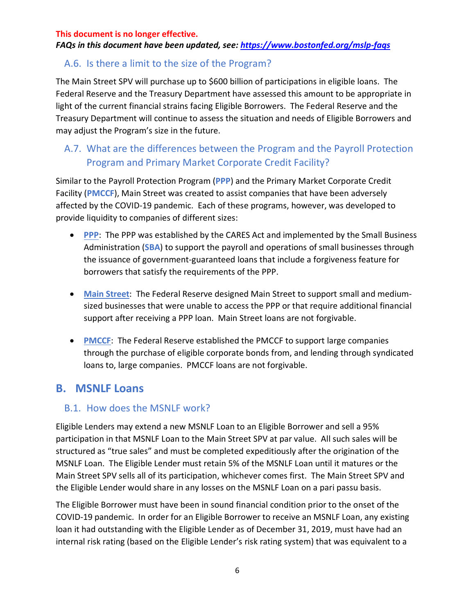#### *FAQs in this document have been updated, see:<https://www.bostonfed.org/mslp-faqs>*

### <span id="page-5-0"></span>A.6. Is there a limit to the size of the Program?

The Main Street SPV will purchase up to \$600 billion of participations in eligible loans. The Federal Reserve and the Treasury Department have assessed this amount to be appropriate in light of the current financial strains facing Eligible Borrowers. The Federal Reserve and the Treasury Department will continue to assess the situation and needs of Eligible Borrowers and may adjust the Program's size in the future.

## <span id="page-5-1"></span>A.7. What are the differences between the Program and the Payroll Protection Program and Primary Market Corporate Credit Facility?

Similar to the Payroll Protection Program (**PPP**) and the Primary Market Corporate Credit Facility (**PMCCF**), Main Street was created to assist companies that have been adversely affected by the COVID-19 pandemic. Each of these programs, however, was developed to provide liquidity to companies of different sizes:

- **PPP**: The PPP was established by the CARES Act and implemented by the Small Business Administration (**SBA**) to support the payroll and operations of small businesses through the issuance of government-guaranteed loans that include a forgiveness feature for borrowers that satisfy the requirements of the PPP.
- **Main Street**: The Federal Reserve designed Main Street to support small and mediumsized businesses that were unable to access the PPP or that require additional financial support after receiving a PPP loan. Main Street loans are not forgivable.
- **PMCCF:** The Federal Reserve established the PMCCF to support large companies through the purchase of eligible corporate bonds from, and lending through syndicated loans to, large companies. PMCCF loans are not forgivable.

## <span id="page-5-2"></span>**B. MSNLF Loans**

### <span id="page-5-3"></span>B.1. How does the MSNLF work?

Eligible Lenders may extend a new MSNLF Loan to an Eligible Borrower and sell a 95% participation in that MSNLF Loan to the Main Street SPV at par value. All such sales will be structured as "true sales" and must be completed expeditiously after the origination of the MSNLF Loan. The Eligible Lender must retain 5% of the MSNLF Loan until it matures or the Main Street SPV sells all of its participation, whichever comes first. The Main Street SPV and the Eligible Lender would share in any losses on the MSNLF Loan on a pari passu basis.

The Eligible Borrower must have been in sound financial condition prior to the onset of the COVID-19 pandemic. In order for an Eligible Borrower to receive an MSNLF Loan, any existing loan it had outstanding with the Eligible Lender as of December 31, 2019, must have had an internal risk rating (based on the Eligible Lender's risk rating system) that was equivalent to a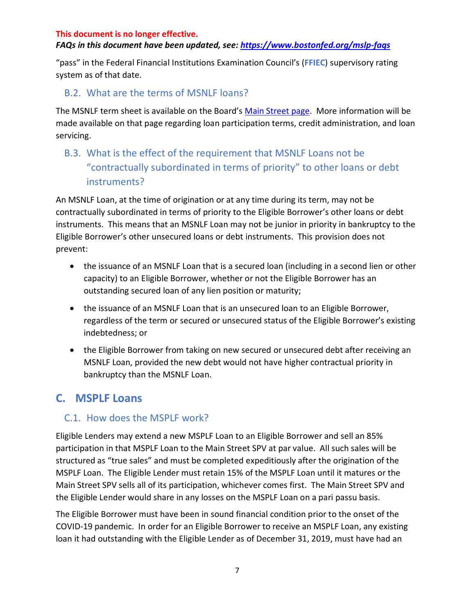#### *FAQs in this document have been updated, see:<https://www.bostonfed.org/mslp-faqs>*

"pass" in the Federal Financial Institutions Examination Council's (**FFIEC**) supervisory rating system as of that date.

### <span id="page-6-0"></span>B.2. What are the terms of MSNLF loans?

The MSNLF term sheet is available on the Board's [Main Street page.](https://www.federalreserve.gov/monetarypolicy/mainstreetlending.htm) More information will be made available on that page regarding loan participation terms, credit administration, and loan servicing.

## <span id="page-6-1"></span>B.3. What is the effect of the requirement that MSNLF Loans not be "contractually subordinated in terms of priority" to other loans or debt instruments?

An MSNLF Loan, at the time of origination or at any time during its term, may not be contractually subordinated in terms of priority to the Eligible Borrower's other loans or debt instruments. This means that an MSNLF Loan may not be junior in priority in bankruptcy to the Eligible Borrower's other unsecured loans or debt instruments. This provision does not prevent:

- the issuance of an MSNLF Loan that is a secured loan (including in a second lien or other capacity) to an Eligible Borrower, whether or not the Eligible Borrower has an outstanding secured loan of any lien position or maturity;
- the issuance of an MSNLF Loan that is an unsecured loan to an Eligible Borrower, regardless of the term or secured or unsecured status of the Eligible Borrower's existing indebtedness; or
- the Eligible Borrower from taking on new secured or unsecured debt after receiving an MSNLF Loan, provided the new debt would not have higher contractual priority in bankruptcy than the MSNLF Loan.

## <span id="page-6-2"></span>**C. MSPLF Loans**

### <span id="page-6-3"></span>C.1. How does the MSPLF work?

Eligible Lenders may extend a new MSPLF Loan to an Eligible Borrower and sell an 85% participation in that MSPLF Loan to the Main Street SPV at par value. All such sales will be structured as "true sales" and must be completed expeditiously after the origination of the MSPLF Loan. The Eligible Lender must retain 15% of the MSPLF Loan until it matures or the Main Street SPV sells all of its participation, whichever comes first. The Main Street SPV and the Eligible Lender would share in any losses on the MSPLF Loan on a pari passu basis.

The Eligible Borrower must have been in sound financial condition prior to the onset of the COVID-19 pandemic. In order for an Eligible Borrower to receive an MSPLF Loan, any existing loan it had outstanding with the Eligible Lender as of December 31, 2019, must have had an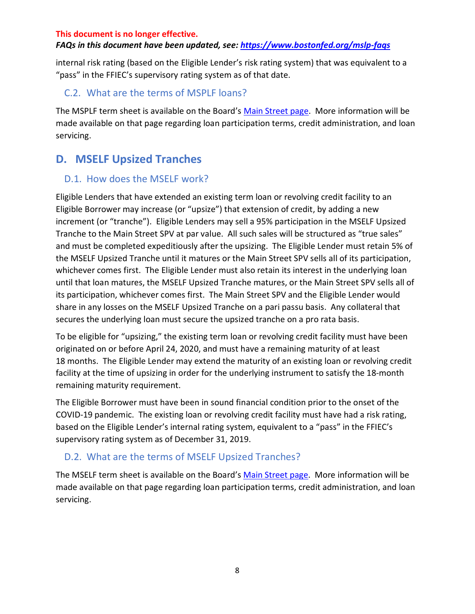#### *FAQs in this document have been updated, see:<https://www.bostonfed.org/mslp-faqs>*

internal risk rating (based on the Eligible Lender's risk rating system) that was equivalent to a "pass" in the FFIEC's supervisory rating system as of that date.

#### <span id="page-7-0"></span>C.2. What are the terms of MSPLF loans?

The MSPLF term sheet is available on the Board's [Main Street page.](https://www.federalreserve.gov/monetarypolicy/mainstreetlending.htm) More information will be made available on that page regarding loan participation terms, credit administration, and loan servicing.

## <span id="page-7-1"></span>**D. MSELF Upsized Tranches**

#### <span id="page-7-2"></span>D.1. How does the MSELF work?

Eligible Lenders that have extended an existing term loan or revolving credit facility to an Eligible Borrower may increase (or "upsize") that extension of credit, by adding a new increment (or "tranche"). Eligible Lenders may sell a 95% participation in the MSELF Upsized Tranche to the Main Street SPV at par value. All such sales will be structured as "true sales" and must be completed expeditiously after the upsizing. The Eligible Lender must retain 5% of the MSELF Upsized Tranche until it matures or the Main Street SPV sells all of its participation, whichever comes first. The Eligible Lender must also retain its interest in the underlying loan until that loan matures, the MSELF Upsized Tranche matures, or the Main Street SPV sells all of its participation, whichever comes first. The Main Street SPV and the Eligible Lender would share in any losses on the MSELF Upsized Tranche on a pari passu basis. Any collateral that secures the underlying loan must secure the upsized tranche on a pro rata basis.

To be eligible for "upsizing," the existing term loan or revolving credit facility must have been originated on or before April 24, 2020, and must have a remaining maturity of at least 18 months. The Eligible Lender may extend the maturity of an existing loan or revolving credit facility at the time of upsizing in order for the underlying instrument to satisfy the 18-month remaining maturity requirement.

The Eligible Borrower must have been in sound financial condition prior to the onset of the COVID-19 pandemic. The existing loan or revolving credit facility must have had a risk rating, based on the Eligible Lender's internal rating system, equivalent to a "pass" in the FFIEC's supervisory rating system as of December 31, 2019.

### <span id="page-7-3"></span>D.2. What are the terms of MSELF Upsized Tranches?

The MSELF term sheet is available on the Board's [Main Street page.](https://www.federalreserve.gov/monetarypolicy/mainstreetlending.htm) More information will be made available on that page regarding loan participation terms, credit administration, and loan servicing.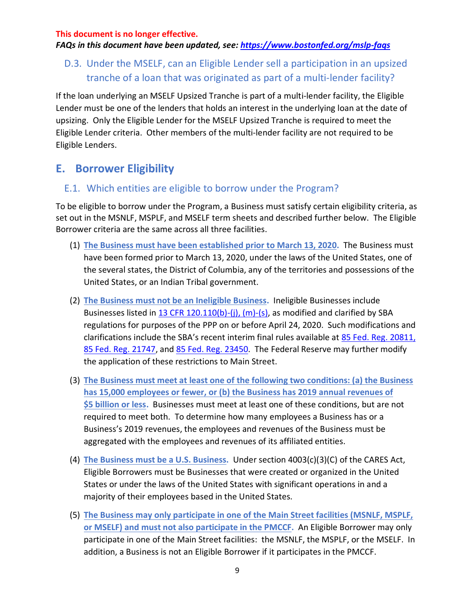*FAQs in this document have been updated, see:<https://www.bostonfed.org/mslp-faqs>*

## <span id="page-8-0"></span>D.3. Under the MSELF, can an Eligible Lender sell a participation in an upsized tranche of a loan that was originated as part of a multi-lender facility?

If the loan underlying an MSELF Upsized Tranche is part of a multi-lender facility, the Eligible Lender must be one of the lenders that holds an interest in the underlying loan at the date of upsizing. Only the Eligible Lender for the MSELF Upsized Tranche is required to meet the Eligible Lender criteria. Other members of the multi-lender facility are not required to be Eligible Lenders.

## <span id="page-8-1"></span>**E. Borrower Eligibility**

#### <span id="page-8-2"></span>E.1. Which entities are eligible to borrow under the Program?

To be eligible to borrow under the Program, a Business must satisfy certain eligibility criteria, as set out in the MSNLF, MSPLF, and MSELF term sheets and described further below. The Eligible Borrower criteria are the same across all three facilities.

- (1) **The Business must have been established prior to March 13, 2020.** The Business must have been formed prior to March 13, 2020, under the laws of the United States, one of the several states, the District of Columbia, any of the territories and possessions of the United States, or an Indian Tribal government.
- (2) **The Business must not be an Ineligible Business.** Ineligible Businesses include Businesses listed in [13 CFR 120.110\(b\)-\(j\), \(m\)-\(s\),](https://gov.ecfr.io/cgi-bin/text-idx?SID=fa53a93b56da0512f225f4fbcf044d0c&mc=true&node=se13.1.120_1110&rgn=div8) as modified and clarified by SBA regulations for purposes of the PPP on or before April 24, 2020. Such modifications and clarifications include the SBA's recent interim final rules available at [85 Fed. Reg. 20811,](https://www.federalregister.gov/documents/2020/04/15/2020-07672/business-loan-program-temporary-changes-paycheck-protection-program) [85 Fed. Reg. 21747,](https://www.federalregister.gov/documents/2020/04/20/2020-08257/business-loan-program-temporary-changes-paycheck-protection-program-additional-eligibility-criteria) and [85 Fed. Reg. 23450.](https://www.federalregister.gov/documents/2020/04/28/2020-09098/business-loan-program-temporary-changes-paycheck-protection-program-requirements-promissory-notes) The Federal Reserve may further modify the application of these restrictions to Main Street.
- (3) **The Business must meet at least one of the following two conditions: (a) the Business has 15,000 employees or fewer, or (b) the Business has 2019 annual revenues of \$5 billion or less.** Businesses must meet at least one of these conditions, but are not required to meet both. To determine how many employees a Business has or a Business's 2019 revenues, the employees and revenues of the Business must be aggregated with the employees and revenues of its affiliated entities.
- (4) **The Business must be a U.S. Business.** Under section 4003(c)(3)(C) of the CARES Act, Eligible Borrowers must be Businesses that were created or organized in the United States or under the laws of the United States with significant operations in and a majority of their employees based in the United States.
- (5) **The Business may only participate in one of the Main Street facilities (MSNLF, MSPLF, or MSELF) and must not also participate in the PMCCF.** An Eligible Borrower may only participate in one of the Main Street facilities: the MSNLF, the MSPLF, or the MSELF. In addition, a Business is not an Eligible Borrower if it participates in the PMCCF.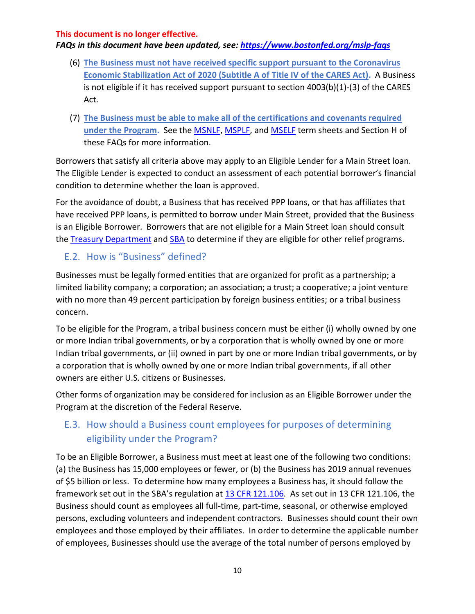#### *FAQs in this document have been updated, see:<https://www.bostonfed.org/mslp-faqs>*

- (6) **The Business must not have received specific support pursuant to the Coronavirus Economic Stabilization Act of 2020 (Subtitle A of Title IV of the CARES Act).** A Business is not eligible if it has received support pursuant to section 4003(b)(1)-(3) of the CARES Act.
- (7) **The Business must be able to make all of the certifications and covenants required under the Program.** See the [MSNLF,](https://www.federalreserve.gov/newsevents/pressreleases/files/monetary20200430a1.pdf) [MSPLF,](https://www.federalreserve.gov/newsevents/pressreleases/files/monetary20200430a2.pdf) and [MSELF](https://www.federalreserve.gov/newsevents/pressreleases/files/monetary20200430a3.pdf) term sheets and Section H of these FAQs for more information.

Borrowers that satisfy all criteria above may apply to an Eligible Lender for a Main Street loan. The Eligible Lender is expected to conduct an assessment of each potential borrower's financial condition to determine whether the loan is approved.

For the avoidance of doubt, a Business that has received PPP loans, or that has affiliates that have received PPP loans, is permitted to borrow under Main Street, provided that the Business is an Eligible Borrower. Borrowers that are not eligible for a Main Street loan should consult the [Treasury](https://home.treasury.gov/system/files/136/PPP--Fact-Sheet.pdf) Department and [SBA](https://www.sba.gov/funding-programs/loans/coronavirus-relief-options/paycheck-protection-program-ppp) to determine if they are eligible for other relief programs.

## <span id="page-9-0"></span>E.2. How is "Business" defined?

Businesses must be legally formed entities that are organized for profit as a partnership; a limited liability company; a corporation; an association; a trust; a cooperative; a joint venture with no more than 49 percent participation by foreign business entities; or a tribal business concern.

To be eligible for the Program, a tribal business concern must be either (i) wholly owned by one or more Indian tribal governments, or by a corporation that is wholly owned by one or more Indian tribal governments, or (ii) owned in part by one or more Indian tribal governments, or by a corporation that is wholly owned by one or more Indian tribal governments, if all other owners are either U.S. citizens or Businesses.

Other forms of organization may be considered for inclusion as an Eligible Borrower under the Program at the discretion of the Federal Reserve.

## <span id="page-9-1"></span>E.3. How should a Business count employees for purposes of determining eligibility under the Program?

To be an Eligible Borrower, a Business must meet at least one of the following two conditions: (a) the Business has 15,000 employees or fewer, or (b) the Business has 2019 annual revenues of \$5 billion or less. To determine how many employees a Business has, it should follow the framework set out in the SBA's regulation at 13 [CFR 121.106.](https://gov.ecfr.io/cgi-bin/text-idx?SID=150fceacc26bbd98972ba3b555e80084&mc=true&node=se13.1.121_1106&rgn=div8) As set out in 13 CFR 121.106, the Business should count as employees all full-time, part-time, seasonal, or otherwise employed persons, excluding volunteers and independent contractors. Businesses should count their own employees and those employed by their affiliates. In order to determine the applicable number of employees, Businesses should use the average of the total number of persons employed by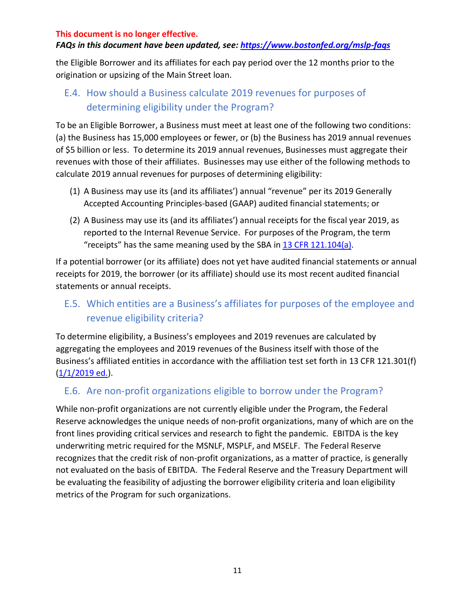#### *FAQs in this document have been updated, see:<https://www.bostonfed.org/mslp-faqs>*

the Eligible Borrower and its affiliates for each pay period over the 12 months prior to the origination or upsizing of the Main Street loan.

## <span id="page-10-0"></span>E.4. How should a Business calculate 2019 revenues for purposes of determining eligibility under the Program?

To be an Eligible Borrower, a Business must meet at least one of the following two conditions: (a) the Business has 15,000 employees or fewer, or (b) the Business has 2019 annual revenues of \$5 billion or less. To determine its 2019 annual revenues, Businesses must aggregate their revenues with those of their affiliates. Businesses may use either of the following methods to calculate 2019 annual revenues for purposes of determining eligibility:

- (1) A Business may use its (and its affiliates') annual "revenue" per its 2019 Generally Accepted Accounting Principles-based (GAAP) audited financial statements; or
- (2) A Business may use its (and its affiliates') annual receipts for the fiscal year 2019, as reported to the Internal Revenue Service. For purposes of the Program, the term "receipts" has the same meaning used by the SBA in  $13$  CFR  $121.104(a)$ .

If a potential borrower (or its affiliate) does not yet have audited financial statements or annual receipts for 2019, the borrower (or its affiliate) should use its most recent audited financial statements or annual receipts.

## <span id="page-10-1"></span>E.5. Which entities are a Business's affiliates for purposes of the employee and revenue eligibility criteria?

To determine eligibility, a Business's employees and 2019 revenues are calculated by aggregating the employees and 2019 revenues of the Business itself with those of the Business's affiliated entities in accordance with the affiliation test set forth in 13 CFR 121.301(f)  $(1/1/2019$  ed.).

### <span id="page-10-2"></span>E.6. Are non-profit organizations eligible to borrow under the Program?

While non-profit organizations are not currently eligible under the Program, the Federal Reserve acknowledges the unique needs of non-profit organizations, many of which are on the front lines providing critical services and research to fight the pandemic. EBITDA is the key underwriting metric required for the MSNLF, MSPLF, and MSELF. The Federal Reserve recognizes that the credit risk of non-profit organizations, as a matter of practice, is generally not evaluated on the basis of EBITDA. The Federal Reserve and the Treasury Department will be evaluating the feasibility of adjusting the borrower eligibility criteria and loan eligibility metrics of the Program for such organizations.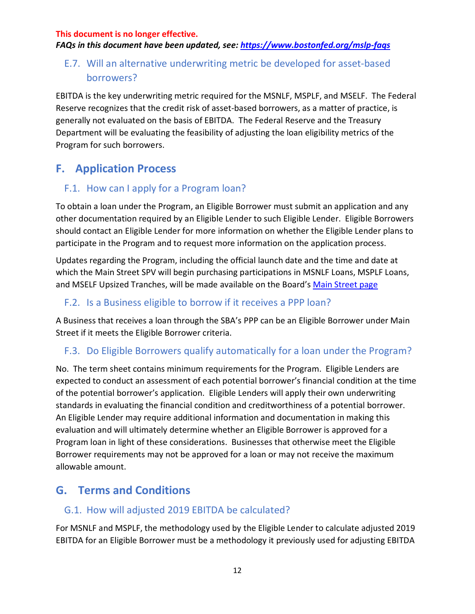*FAQs in this document have been updated, see:<https://www.bostonfed.org/mslp-faqs>*

## <span id="page-11-0"></span>E.7. Will an alternative underwriting metric be developed for asset-based borrowers?

EBITDA is the key underwriting metric required for the MSNLF, MSPLF, and MSELF. The Federal Reserve recognizes that the credit risk of asset-based borrowers, as a matter of practice, is generally not evaluated on the basis of EBITDA. The Federal Reserve and the Treasury Department will be evaluating the feasibility of adjusting the loan eligibility metrics of the Program for such borrowers.

## <span id="page-11-1"></span>**F. Application Process**

### <span id="page-11-2"></span>F.1. How can I apply for a Program loan?

To obtain a loan under the Program, an Eligible Borrower must submit an application and any other documentation required by an Eligible Lender to such Eligible Lender. Eligible Borrowers should contact an Eligible Lender for more information on whether the Eligible Lender plans to participate in the Program and to request more information on the application process.

Updates regarding the Program, including the official launch date and the time and date at which the Main Street SPV will begin purchasing participations in MSNLF Loans, MSPLF Loans, and MSELF Upsized Tranches, will be made available on the Board's [Main Street page](https://www.federalreserve.gov/monetarypolicy/mainstreetlending.htm)

### <span id="page-11-3"></span>F.2. Is a Business eligible to borrow if it receives a PPP loan?

A Business that receives a loan through the SBA's PPP can be an Eligible Borrower under Main Street if it meets the Eligible Borrower criteria.

### <span id="page-11-4"></span>F.3. Do Eligible Borrowers qualify automatically for a loan under the Program?

No. The term sheet contains minimum requirements for the Program. Eligible Lenders are expected to conduct an assessment of each potential borrower's financial condition at the time of the potential borrower's application. Eligible Lenders will apply their own underwriting standards in evaluating the financial condition and creditworthiness of a potential borrower. An Eligible Lender may require additional information and documentation in making this evaluation and will ultimately determine whether an Eligible Borrower is approved for a Program loan in light of these considerations. Businesses that otherwise meet the Eligible Borrower requirements may not be approved for a loan or may not receive the maximum allowable amount.

## <span id="page-11-5"></span>**G. Terms and Conditions**

### <span id="page-11-6"></span>G.1. How will adjusted 2019 EBITDA be calculated?

For MSNLF and MSPLF, the methodology used by the Eligible Lender to calculate adjusted 2019 EBITDA for an Eligible Borrower must be a methodology it previously used for adjusting EBITDA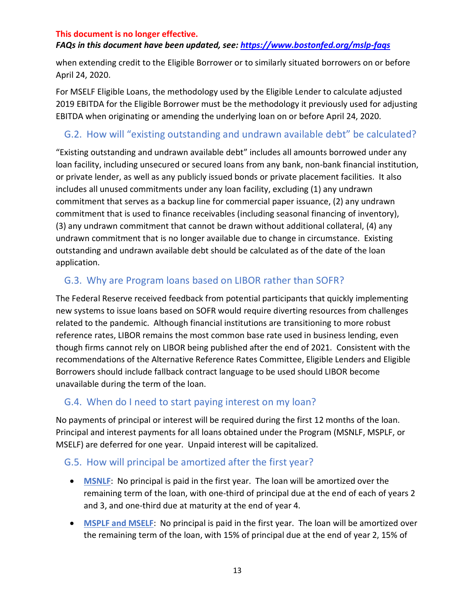#### *FAQs in this document have been updated, see:<https://www.bostonfed.org/mslp-faqs>*

when extending credit to the Eligible Borrower or to similarly situated borrowers on or before April 24, 2020.

For MSELF Eligible Loans, the methodology used by the Eligible Lender to calculate adjusted 2019 EBITDA for the Eligible Borrower must be the methodology it previously used for adjusting EBITDA when originating or amending the underlying loan on or before April 24, 2020.

### <span id="page-12-0"></span>G.2. How will "existing outstanding and undrawn available debt" be calculated?

"Existing outstanding and undrawn available debt" includes all amounts borrowed under any loan facility, including unsecured or secured loans from any bank, non-bank financial institution, or private lender, as well as any publicly issued bonds or private placement facilities. It also includes all unused commitments under any loan facility, excluding (1) any undrawn commitment that serves as a backup line for commercial paper issuance, (2) any undrawn commitment that is used to finance receivables (including seasonal financing of inventory), (3) any undrawn commitment that cannot be drawn without additional collateral, (4) any undrawn commitment that is no longer available due to change in circumstance. Existing outstanding and undrawn available debt should be calculated as of the date of the loan application.

### <span id="page-12-1"></span>G.3. Why are Program loans based on LIBOR rather than SOFR?

The Federal Reserve received feedback from potential participants that quickly implementing new systems to issue loans based on SOFR would require diverting resources from challenges related to the pandemic. Although financial institutions are transitioning to more robust reference rates, LIBOR remains the most common base rate used in business lending, even though firms cannot rely on LIBOR being published after the end of 2021. Consistent with the recommendations of the Alternative Reference Rates Committee, Eligible Lenders and Eligible Borrowers should include fallback contract language to be used should LIBOR become unavailable during the term of the loan.

### <span id="page-12-2"></span>G.4. When do I need to start paying interest on my loan?

No payments of principal or interest will be required during the first 12 months of the loan. Principal and interest payments for all loans obtained under the Program (MSNLF, MSPLF, or MSELF) are deferred for one year. Unpaid interest will be capitalized.

#### <span id="page-12-3"></span>G.5. How will principal be amortized after the first year?

- **MSNLF**: No principal is paid in the first year. The loan will be amortized over the remaining term of the loan, with one-third of principal due at the end of each of years 2 and 3, and one-third due at maturity at the end of year 4.
- **MSPLF and MSELF**: No principal is paid in the first year. The loan will be amortized over the remaining term of the loan, with 15% of principal due at the end of year 2, 15% of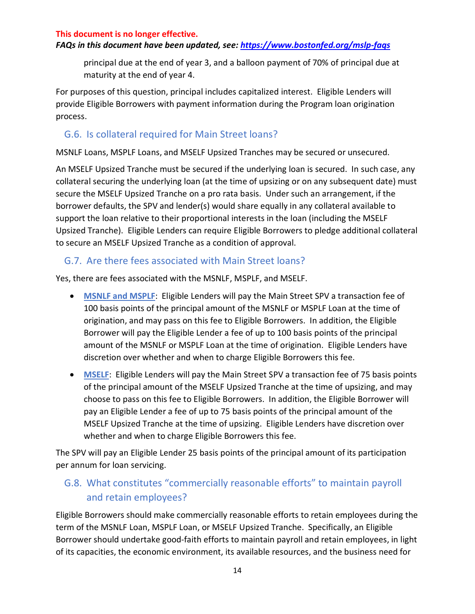#### *FAQs in this document have been updated, see:<https://www.bostonfed.org/mslp-faqs>*

principal due at the end of year 3, and a balloon payment of 70% of principal due at maturity at the end of year 4.

For purposes of this question, principal includes capitalized interest. Eligible Lenders will provide Eligible Borrowers with payment information during the Program loan origination process.

### <span id="page-13-0"></span>G.6. Is collateral required for Main Street loans?

MSNLF Loans, MSPLF Loans, and MSELF Upsized Tranches may be secured or unsecured.

An MSELF Upsized Tranche must be secured if the underlying loan is secured. In such case, any collateral securing the underlying loan (at the time of upsizing or on any subsequent date) must secure the MSELF Upsized Tranche on a pro rata basis. Under such an arrangement, if the borrower defaults, the SPV and lender(s) would share equally in any collateral available to support the loan relative to their proportional interests in the loan (including the MSELF Upsized Tranche). Eligible Lenders can require Eligible Borrowers to pledge additional collateral to secure an MSELF Upsized Tranche as a condition of approval.

### <span id="page-13-1"></span>G.7. Are there fees associated with Main Street loans?

Yes, there are fees associated with the MSNLF, MSPLF, and MSELF.

- **MSNLF and MSPLF**: Eligible Lenders will pay the Main Street SPV a transaction fee of 100 basis points of the principal amount of the MSNLF or MSPLF Loan at the time of origination, and may pass on this fee to Eligible Borrowers. In addition, the Eligible Borrower will pay the Eligible Lender a fee of up to 100 basis points of the principal amount of the MSNLF or MSPLF Loan at the time of origination. Eligible Lenders have discretion over whether and when to charge Eligible Borrowers this fee.
- **MSELF**: Eligible Lenders will pay the Main Street SPV a transaction fee of 75 basis points of the principal amount of the MSELF Upsized Tranche at the time of upsizing, and may choose to pass on this fee to Eligible Borrowers. In addition, the Eligible Borrower will pay an Eligible Lender a fee of up to 75 basis points of the principal amount of the MSELF Upsized Tranche at the time of upsizing. Eligible Lenders have discretion over whether and when to charge Eligible Borrowers this fee.

The SPV will pay an Eligible Lender 25 basis points of the principal amount of its participation per annum for loan servicing.

## <span id="page-13-2"></span>G.8. What constitutes "commercially reasonable efforts" to maintain payroll and retain employees?

Eligible Borrowers should make commercially reasonable efforts to retain employees during the term of the MSNLF Loan, MSPLF Loan, or MSELF Upsized Tranche. Specifically, an Eligible Borrower should undertake good-faith efforts to maintain payroll and retain employees, in light of its capacities, the economic environment, its available resources, and the business need for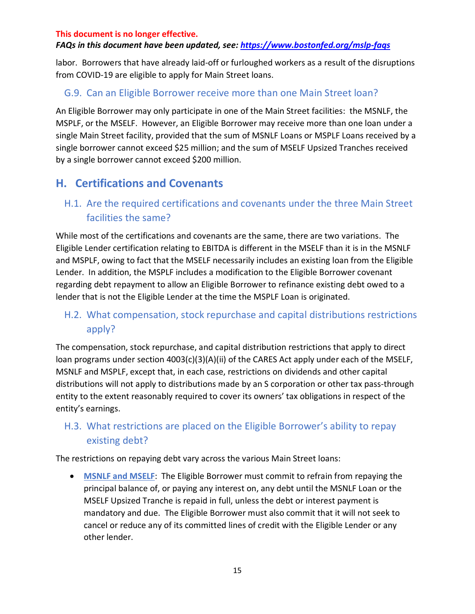#### *FAQs in this document have been updated, see:<https://www.bostonfed.org/mslp-faqs>*

labor. Borrowers that have already laid-off or furloughed workers as a result of the disruptions from COVID-19 are eligible to apply for Main Street loans.

### <span id="page-14-0"></span>G.9. Can an Eligible Borrower receive more than one Main Street loan?

An Eligible Borrower may only participate in one of the Main Street facilities: the MSNLF, the MSPLF, or the MSELF. However, an Eligible Borrower may receive more than one loan under a single Main Street facility, provided that the sum of MSNLF Loans or MSPLF Loans received by a single borrower cannot exceed \$25 million; and the sum of MSELF Upsized Tranches received by a single borrower cannot exceed \$200 million.

## <span id="page-14-1"></span>**H. Certifications and Covenants**

### <span id="page-14-2"></span>H.1. Are the required certifications and covenants under the three Main Street facilities the same?

While most of the certifications and covenants are the same, there are two variations. The Eligible Lender certification relating to EBITDA is different in the MSELF than it is in the MSNLF and MSPLF, owing to fact that the MSELF necessarily includes an existing loan from the Eligible Lender. In addition, the MSPLF includes a modification to the Eligible Borrower covenant regarding debt repayment to allow an Eligible Borrower to refinance existing debt owed to a lender that is not the Eligible Lender at the time the MSPLF Loan is originated.

## <span id="page-14-3"></span>H.2. What compensation, stock repurchase and capital distributions restrictions apply?

The compensation, stock repurchase, and capital distribution restrictions that apply to direct loan programs under section 4003(c)(3)(A)(ii) of the CARES Act apply under each of the MSELF, MSNLF and MSPLF, except that, in each case, restrictions on dividends and other capital distributions will not apply to distributions made by an S corporation or other tax pass-through entity to the extent reasonably required to cover its owners' tax obligations in respect of the entity's earnings.

## <span id="page-14-4"></span>H.3. What restrictions are placed on the Eligible Borrower's ability to repay existing debt?

The restrictions on repaying debt vary across the various Main Street loans:

• **MSNLF and MSELF**: The Eligible Borrower must commit to refrain from repaying the principal balance of, or paying any interest on, any debt until the MSNLF Loan or the MSELF Upsized Tranche is repaid in full, unless the debt or interest payment is mandatory and due. The Eligible Borrower must also commit that it will not seek to cancel or reduce any of its committed lines of credit with the Eligible Lender or any other lender.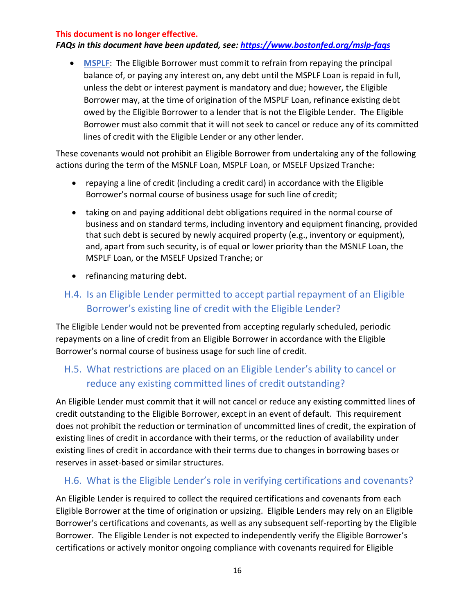#### *FAQs in this document have been updated, see:<https://www.bostonfed.org/mslp-faqs>*

• **MSPLF**: The Eligible Borrower must commit to refrain from repaying the principal balance of, or paying any interest on, any debt until the MSPLF Loan is repaid in full, unless the debt or interest payment is mandatory and due; however, the Eligible Borrower may, at the time of origination of the MSPLF Loan, refinance existing debt owed by the Eligible Borrower to a lender that is not the Eligible Lender. The Eligible Borrower must also commit that it will not seek to cancel or reduce any of its committed lines of credit with the Eligible Lender or any other lender.

These covenants would not prohibit an Eligible Borrower from undertaking any of the following actions during the term of the MSNLF Loan, MSPLF Loan, or MSELF Upsized Tranche:

- repaying a line of credit (including a credit card) in accordance with the Eligible Borrower's normal course of business usage for such line of credit;
- taking on and paying additional debt obligations required in the normal course of business and on standard terms, including inventory and equipment financing, provided that such debt is secured by newly acquired property (e.g., inventory or equipment), and, apart from such security, is of equal or lower priority than the MSNLF Loan, the MSPLF Loan, or the MSELF Upsized Tranche; or
- refinancing maturing debt.

## <span id="page-15-0"></span>H.4. Is an Eligible Lender permitted to accept partial repayment of an Eligible Borrower's existing line of credit with the Eligible Lender?

The Eligible Lender would not be prevented from accepting regularly scheduled, periodic repayments on a line of credit from an Eligible Borrower in accordance with the Eligible Borrower's normal course of business usage for such line of credit.

### <span id="page-15-1"></span>H.5. What restrictions are placed on an Eligible Lender's ability to cancel or reduce any existing committed lines of credit outstanding?

An Eligible Lender must commit that it will not cancel or reduce any existing committed lines of credit outstanding to the Eligible Borrower, except in an event of default. This requirement does not prohibit the reduction or termination of uncommitted lines of credit, the expiration of existing lines of credit in accordance with their terms, or the reduction of availability under existing lines of credit in accordance with their terms due to changes in borrowing bases or reserves in asset-based or similar structures.

### <span id="page-15-2"></span>H.6. What is the Eligible Lender's role in verifying certifications and covenants?

An Eligible Lender is required to collect the required certifications and covenants from each Eligible Borrower at the time of origination or upsizing. Eligible Lenders may rely on an Eligible Borrower's certifications and covenants, as well as any subsequent self-reporting by the Eligible Borrower. The Eligible Lender is not expected to independently verify the Eligible Borrower's certifications or actively monitor ongoing compliance with covenants required for Eligible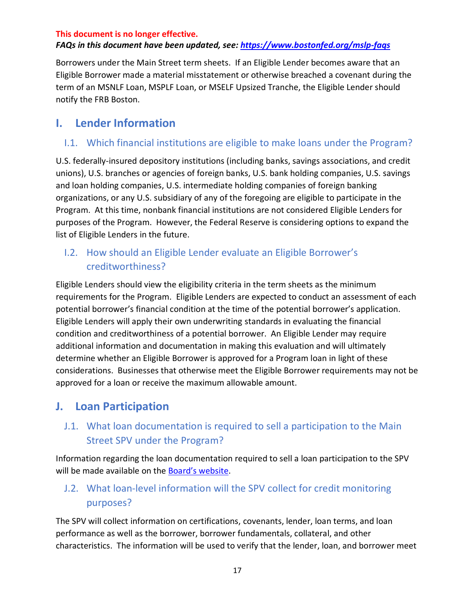#### *FAQs in this document have been updated, see:<https://www.bostonfed.org/mslp-faqs>*

Borrowers under the Main Street term sheets. If an Eligible Lender becomes aware that an Eligible Borrower made a material misstatement or otherwise breached a covenant during the term of an MSNLF Loan, MSPLF Loan, or MSELF Upsized Tranche, the Eligible Lender should notify the FRB Boston.

### <span id="page-16-0"></span>**I. Lender Information**

### <span id="page-16-1"></span>I.1. Which financial institutions are eligible to make loans under the Program?

U.S. federally-insured depository institutions (including banks, savings associations, and credit unions), U.S. branches or agencies of foreign banks, U.S. bank holding companies, U.S. savings and loan holding companies, U.S. intermediate holding companies of foreign banking organizations, or any U.S. subsidiary of any of the foregoing are eligible to participate in the Program. At this time, nonbank financial institutions are not considered Eligible Lenders for purposes of the Program. However, the Federal Reserve is considering options to expand the list of Eligible Lenders in the future.

### <span id="page-16-2"></span>I.2. How should an Eligible Lender evaluate an Eligible Borrower's creditworthiness?

Eligible Lenders should view the eligibility criteria in the term sheets as the minimum requirements for the Program. Eligible Lenders are expected to conduct an assessment of each potential borrower's financial condition at the time of the potential borrower's application. Eligible Lenders will apply their own underwriting standards in evaluating the financial condition and creditworthiness of a potential borrower. An Eligible Lender may require additional information and documentation in making this evaluation and will ultimately determine whether an Eligible Borrower is approved for a Program loan in light of these considerations. Businesses that otherwise meet the Eligible Borrower requirements may not be approved for a loan or receive the maximum allowable amount.

## <span id="page-16-3"></span>**J. Loan Participation**

## <span id="page-16-4"></span>J.1. What loan documentation is required to sell a participation to the Main Street SPV under the Program?

Information regarding the loan documentation required to sell a loan participation to the SPV will be made available on the **Board's website**.

## <span id="page-16-5"></span>J.2. What loan-level information will the SPV collect for credit monitoring purposes?

The SPV will collect information on certifications, covenants, lender, loan terms, and loan performance as well as the borrower, borrower fundamentals, collateral, and other characteristics. The information will be used to verify that the lender, loan, and borrower meet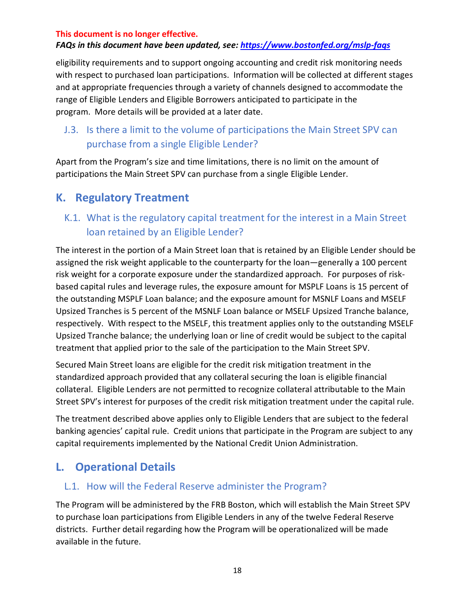#### *FAQs in this document have been updated, see:<https://www.bostonfed.org/mslp-faqs>*

eligibility requirements and to support ongoing accounting and credit risk monitoring needs with respect to purchased loan participations. Information will be collected at different stages and at appropriate frequencies through a variety of channels designed to accommodate the range of Eligible Lenders and Eligible Borrowers anticipated to participate in the program. More details will be provided at a later date.

## <span id="page-17-0"></span>J.3. Is there a limit to the volume of participations the Main Street SPV can purchase from a single Eligible Lender?

Apart from the Program's size and time limitations, there is no limit on the amount of participations the Main Street SPV can purchase from a single Eligible Lender.

## <span id="page-17-1"></span>**K. Regulatory Treatment**

## <span id="page-17-2"></span>K.1. What is the regulatory capital treatment for the interest in a Main Street loan retained by an Eligible Lender?

The interest in the portion of a Main Street loan that is retained by an Eligible Lender should be assigned the risk weight applicable to the counterparty for the loan—generally a 100 percent risk weight for a corporate exposure under the standardized approach. For purposes of riskbased capital rules and leverage rules, the exposure amount for MSPLF Loans is 15 percent of the outstanding MSPLF Loan balance; and the exposure amount for MSNLF Loans and MSELF Upsized Tranches is 5 percent of the MSNLF Loan balance or MSELF Upsized Tranche balance, respectively. With respect to the MSELF, this treatment applies only to the outstanding MSELF Upsized Tranche balance; the underlying loan or line of credit would be subject to the capital treatment that applied prior to the sale of the participation to the Main Street SPV.

Secured Main Street loans are eligible for the credit risk mitigation treatment in the standardized approach provided that any collateral securing the loan is eligible financial collateral. Eligible Lenders are not permitted to recognize collateral attributable to the Main Street SPV's interest for purposes of the credit risk mitigation treatment under the capital rule.

The treatment described above applies only to Eligible Lenders that are subject to the federal banking agencies' capital rule. Credit unions that participate in the Program are subject to any capital requirements implemented by the National Credit Union Administration.

## <span id="page-17-3"></span>**L. Operational Details**

### <span id="page-17-4"></span>L.1. How will the Federal Reserve administer the Program?

The Program will be administered by the FRB Boston, which will establish the Main Street SPV to purchase loan participations from Eligible Lenders in any of the twelve Federal Reserve districts. Further detail regarding how the Program will be operationalized will be made available in the future.